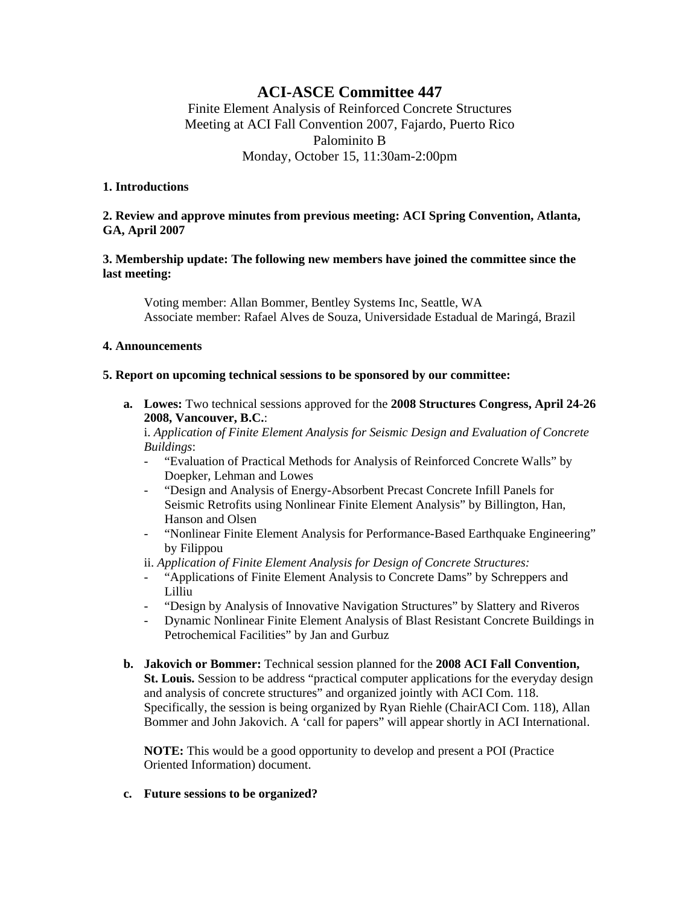# **ACI-ASCE Committee 447**

Finite Element Analysis of Reinforced Concrete Structures Meeting at ACI Fall Convention 2007, Fajardo, Puerto Rico Palominito B Monday, October 15, 11:30am-2:00pm

#### **1. Introductions**

## **2. Review and approve minutes from previous meeting: ACI Spring Convention, Atlanta, GA, April 2007**

## **3. Membership update: The following new members have joined the committee since the last meeting:**

 Voting member: Allan Bommer, Bentley Systems Inc, Seattle, WA Associate member: Rafael Alves de Souza, Universidade Estadual de Maringá, Brazil

### **4. Announcements**

### **5. Report on upcoming technical sessions to be sponsored by our committee:**

**a. Lowes:** Two technical sessions approved for the **2008 Structures Congress, April 24-26 2008, Vancouver, B.C.**:

i. *Application of Finite Element Analysis for Seismic Design and Evaluation of Concrete Buildings*:

- "Evaluation of Practical Methods for Analysis of Reinforced Concrete Walls" by Doepker, Lehman and Lowes
- "Design and Analysis of Energy-Absorbent Precast Concrete Infill Panels for Seismic Retrofits using Nonlinear Finite Element Analysis" by Billington, Han, Hanson and Olsen
- "Nonlinear Finite Element Analysis for Performance-Based Earthquake Engineering" by Filippou

ii. *Application of Finite Element Analysis for Design of Concrete Structures:*

- "Applications of Finite Element Analysis to Concrete Dams" by Schreppers and Lilliu
- "Design by Analysis of Innovative Navigation Structures" by Slattery and Riveros
- Dynamic Nonlinear Finite Element Analysis of Blast Resistant Concrete Buildings in Petrochemical Facilities" by Jan and Gurbuz
- **b. Jakovich or Bommer:** Technical session planned for the **2008 ACI Fall Convention, St. Louis.** Session to be address "practical computer applications for the everyday design and analysis of concrete structures" and organized jointly with ACI Com. 118. Specifically, the session is being organized by Ryan Riehle (ChairACI Com. 118), Allan Bommer and John Jakovich. A 'call for papers" will appear shortly in ACI International.

**NOTE:** This would be a good opportunity to develop and present a POI (Practice Oriented Information) document.

#### **c. Future sessions to be organized?**